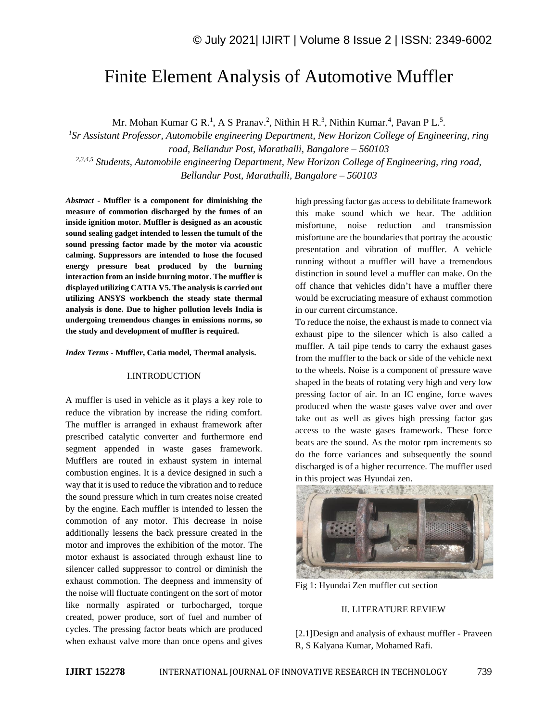# Finite Element Analysis of Automotive Muffler

Mr. Mohan Kumar G R.<sup>1</sup>, A S Pranav.<sup>2</sup>, Nithin H R.<sup>3</sup>, Nithin Kumar.<sup>4</sup>, Pavan P L.<sup>5</sup>.

*1 Sr Assistant Professor, Automobile engineering Department, New Horizon College of Engineering, ring road, Bellandur Post, Marathalli, Bangalore – 560103 2,3,4,5 Students, Automobile engineering Department, New Horizon College of Engineering, ring road, Bellandur Post, Marathalli, Bangalore – 560103*

*Abstract -* **Muffler is a component for diminishing the measure of commotion discharged by the fumes of an inside ignition motor. Muffler is designed as an acoustic sound sealing gadget intended to lessen the tumult of the sound pressing factor made by the motor via acoustic calming. Suppressors are intended to hose the focused energy pressure beat produced by the burning interaction from an inside burning motor. The muffler is displayed utilizing CATIA V5. The analysis is carried out utilizing ANSYS workbench the steady state thermal analysis is done. Due to higher pollution levels India is undergoing tremendous changes in emissions norms, so the study and development of muffler is required.** 

*Index Terms -* **Muffler, Catia model, Thermal analysis.**

## I.INTRODUCTION

A muffler is used in vehicle as it plays a key role to reduce the vibration by increase the riding comfort. The muffler is arranged in exhaust framework after prescribed catalytic converter and furthermore end segment appended in waste gases framework. Mufflers are routed in exhaust system in internal combustion engines. It is a device designed in such a way that it is used to reduce the vibration and to reduce the sound pressure which in turn creates noise created by the engine. Each muffler is intended to lessen the commotion of any motor. This decrease in noise additionally lessens the back pressure created in the motor and improves the exhibition of the motor. The motor exhaust is associated through exhaust line to silencer called suppressor to control or diminish the exhaust commotion. The deepness and immensity of the noise will fluctuate contingent on the sort of motor like normally aspirated or turbocharged, torque created, power produce, sort of fuel and number of cycles. The pressing factor beats which are produced when exhaust valve more than once opens and gives

high pressing factor gas access to debilitate framework this make sound which we hear. The addition misfortune, noise reduction and transmission misfortune are the boundaries that portray the acoustic presentation and vibration of muffler. A vehicle running without a muffler will have a tremendous distinction in sound level a muffler can make. On the off chance that vehicles didn't have a muffler there would be excruciating measure of exhaust commotion in our current circumstance.

To reduce the noise, the exhaust is made to connect via exhaust pipe to the silencer which is also called a muffler. A tail pipe tends to carry the exhaust gases from the muffler to the back or side of the vehicle next to the wheels. Noise is a component of pressure wave shaped in the beats of rotating very high and very low pressing factor of air. In an IC engine, force waves produced when the waste gases valve over and over take out as well as gives high pressing factor gas access to the waste gases framework. These force beats are the sound. As the motor rpm increments so do the force variances and subsequently the sound discharged is of a higher recurrence. The muffler used in this project was Hyundai zen.



Fig 1: Hyundai Zen muffler cut section

## II. LITERATURE REVIEW

[2.1]Design and analysis of exhaust muffler - Praveen R, S Kalyana Kumar, Mohamed Rafi.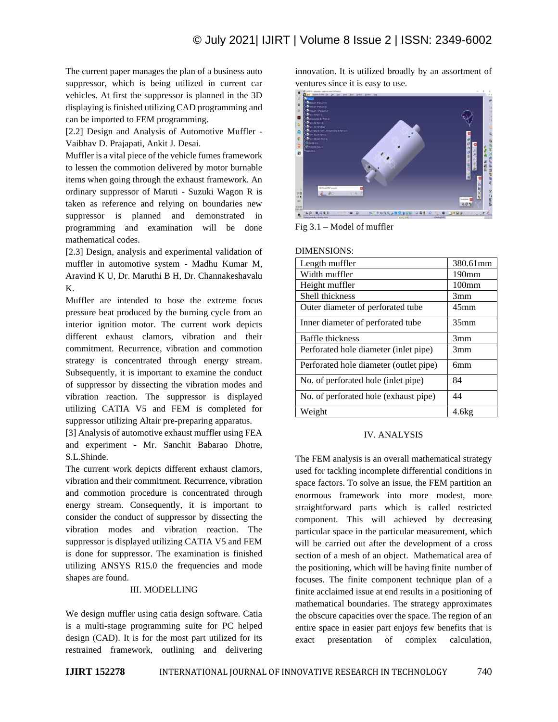The current paper manages the plan of a business auto suppressor, which is being utilized in current car vehicles. At first the suppressor is planned in the 3D displaying is finished utilizing CAD programming and can be imported to FEM programming.

[2.2] Design and Analysis of Automotive Muffler - Vaibhav D. Prajapati, Ankit J. Desai.

Muffler is a vital piece of the vehicle fumes framework to lessen the commotion delivered by motor burnable items when going through the exhaust framework. An ordinary suppressor of Maruti - Suzuki Wagon R is taken as reference and relying on boundaries new suppressor is planned and demonstrated in programming and examination will be done mathematical codes.

[2.3] Design, analysis and experimental validation of muffler in automotive system - Madhu Kumar M, Aravind K U, Dr. Maruthi B H, Dr. Channakeshavalu K.

Muffler are intended to hose the extreme focus pressure beat produced by the burning cycle from an interior ignition motor. The current work depicts different exhaust clamors, vibration and their commitment. Recurrence, vibration and commotion strategy is concentrated through energy stream. Subsequently, it is important to examine the conduct of suppressor by dissecting the vibration modes and vibration reaction. The suppressor is displayed utilizing CATIA V5 and FEM is completed for suppressor utilizing Altair pre-preparing apparatus.

[3] Analysis of automotive exhaust muffler using FEA and experiment - Mr. Sanchit Babarao Dhotre, S.L.Shinde.

The current work depicts different exhaust clamors, vibration and their commitment. Recurrence, vibration and commotion procedure is concentrated through energy stream. Consequently, it is important to consider the conduct of suppressor by dissecting the vibration modes and vibration reaction. The suppressor is displayed utilizing CATIA V5 and FEM is done for suppressor. The examination is finished utilizing ANSYS R15.0 the frequencies and mode shapes are found.

#### III. MODELLING

We design muffler using catia design software. Catia is a multi-stage programming suite for PC helped design (CAD). It is for the most part utilized for its restrained framework, outlining and delivering innovation. It is utilized broadly by an assortment of ventures since it is easy to use.



Fig 3.1 – Model of muffler

DIMENSIONS:

| LIIVILINDIVIIND.                       |                   |
|----------------------------------------|-------------------|
| Length muffler                         | 380.61mm          |
| Width muffler                          | 190 <sub>mm</sub> |
| Height muffler                         | 100 <sub>mm</sub> |
| Shell thickness                        | 3mm               |
| Outer diameter of perforated tube      | 45 <sub>mm</sub>  |
| Inner diameter of perforated tube      | 35 <sub>mm</sub>  |
| Baffle thickness                       | 3mm               |
| Perforated hole diameter (inlet pipe)  | 3mm               |
| Perforated hole diameter (outlet pipe) | бmт               |
| No. of perforated hole (inlet pipe)    | 84                |
| No. of perforated hole (exhaust pipe)  | 44                |
| Weight                                 | 4.6kg             |

#### IV. ANALYSIS

The FEM analysis is an overall mathematical strategy used for tackling incomplete differential conditions in space factors. To solve an issue, the FEM partition an enormous framework into more modest, more straightforward parts which is called restricted component. This will achieved by decreasing particular space in the particular measurement, which will be carried out after the development of a cross section of a mesh of an object. Mathematical area of the positioning, which will be having finite number of focuses. The finite component technique plan of a finite acclaimed issue at end results in a positioning of mathematical boundaries. The strategy approximates the obscure capacities over the space. The region of an entire space in easier part enjoys few benefits that is exact presentation of complex calculation,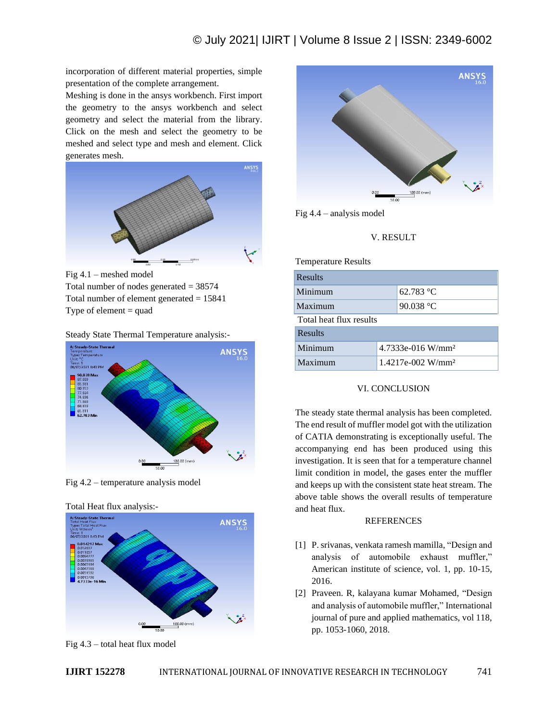incorporation of different material properties, simple presentation of the complete arrangement.

Meshing is done in the ansys workbench. First import the geometry to the ansys workbench and select geometry and select the material from the library. Click on the mesh and select the geometry to be meshed and select type and mesh and element. Click generates mesh.



Fig 4.1 – meshed model Total number of nodes generated  $= 38574$ Total number of element generated  $= 15841$ Type of element  $=$  quad





Fig 4.2 – temperature analysis model





Fig 4.3 – total heat flux model



Fig 4.4 – analysis model

V. RESULT

Temperature Results

| Results                 |                                 |           |  |
|-------------------------|---------------------------------|-----------|--|
| Minimum                 |                                 | 62.783 °C |  |
| Maximum                 |                                 | 90.038 °C |  |
| Total heat flux results |                                 |           |  |
| <b>Results</b>          |                                 |           |  |
| Minimum                 | $4.7333e-016$ W/mm <sup>2</sup> |           |  |
| Maximum                 | $1.4217e-002$ W/mm <sup>2</sup> |           |  |

## VI. CONCLUSION

The steady state thermal analysis has been completed. The end result of muffler model got with the utilization of CATIA demonstrating is exceptionally useful. The accompanying end has been produced using this investigation. It is seen that for a temperature channel limit condition in model, the gases enter the muffler and keeps up with the consistent state heat stream. The above table shows the overall results of temperature and heat flux.

### **REFERENCES**

- [1] P. srivanas, venkata ramesh mamilla, "Design and analysis of automobile exhaust muffler," American institute of science, vol. 1, pp. 10-15, 2016.
- [2] Praveen. R, kalayana kumar Mohamed, "Design and analysis of automobile muffler," International journal of pure and applied mathematics, vol 118, pp. 1053-1060, 2018.